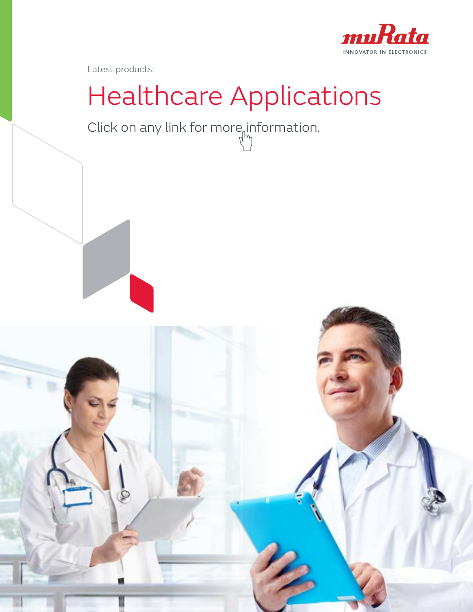

Latest products:

# Healthcare Applications

Click on any link for more information.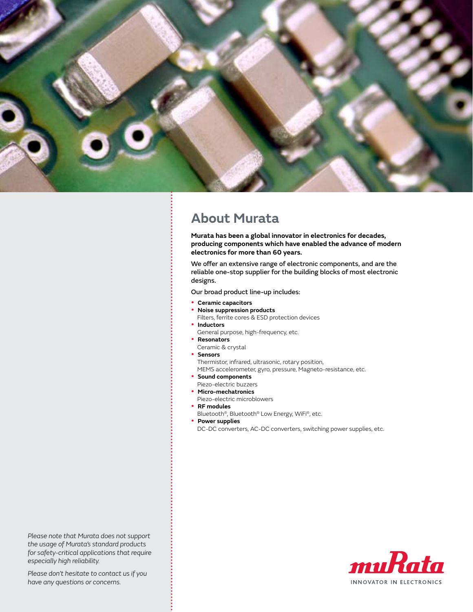

### **[About Murata](http://www.murataamericas.com/)**

**Murata has been a global innovator in electronics for decades, producing components which have enabled the advance of modern electronics for more than 60 years.**

We offer an extensive range of electronic components, and are the reliable one-stop supplier for the building blocks of most electronic designs.

Our broad product line-up includes:

- **[Ceramic capacitors](http://www.murata.com/products/capacitor/)**
- **[Noise suppression products](http://www.murata.com/products/emc/)**
- Filters, ferrite cores & ESD protection devices **•** [Inductors](http://www.murata.com/products/inductor/)
- General purpose, high-frequency, etc.
- **[Resonators](http://www.murata.com/products/resonator/)** 
	- Ceramic & crystal
- **[Sensors](http://www.murata.com/products/sensor/)**
- Thermistor, infrared, ultrasonic, rotary position,
- MEMS accelerometer, gyro, pressure, Magneto-resistance, etc.
- **Sound components**
- [Piezo-electric buzzers](http://www.murata.com/products/micromechatronics)
- **Micro-mechatronics** [Piezo-electric microblowers](http://www.murata.com/products/micromechatronics)
- **RF modules**
- [Bluetooth®, Bluetooth® Low Energy, WiFi®, etc.](http://www.murata.com/products/microwave/)
- **Power supplies**
- [DC-DC converters, AC-DC converters, switching power supplies, etc.](http://www.murata-ps.com/en/)

*Please note that Murata does not support the usage of Murata's standard products for safety-critical applications that require especially high reliability.*

2 *have any questions or concerns.Please don't hesitate to contact us if you* 

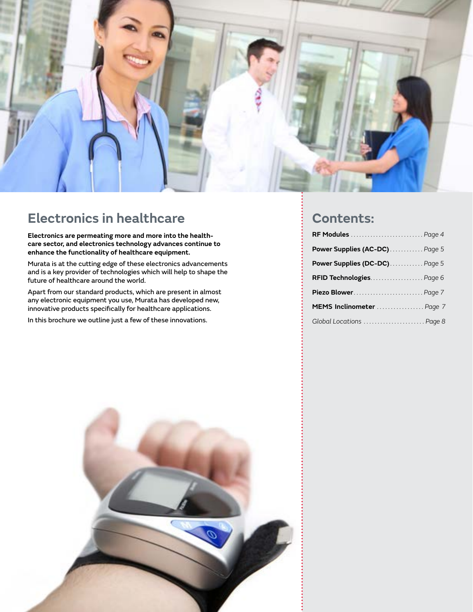

### **Electronics in healthcare**

**Electronics are permeating more and more into the healthcare sector, and electronics technology advances continue to enhance the functionality of healthcare equipment.** 

Murata is at the cutting edge of these electronics advancements and is a key provider of technologies which will help to shape the future of healthcare around the world.

Apart from our standard products, which are present in almost any electronic equipment you use, Murata has developed new, innovative products specifically for healthcare applications.

In this brochure we outline just a few of these innovations.

### **Contents:**

| RF Modules  Page 4            |  |
|-------------------------------|--|
| Power Supplies (AC-DC) Page 5 |  |
| Power Supplies (DC-DC) Page 5 |  |
| RFID Technologies Page 6      |  |
| Piezo Blower Page 7           |  |
| MEMS Inclinometer  Page 7     |  |
| Global Locations  Page 8      |  |

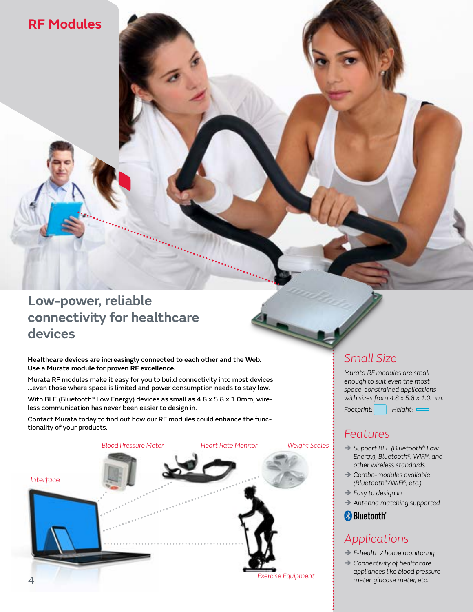### <span id="page-3-0"></span>**[RF Modules](http://www.murata-ws.com)**

### **Low-power, reliable connectivity for healthcare devices**

**Healthcare devices are increasingly connected to each other and the Web. Use a Murata module for proven RF excellence.**

Murata RF modules make it easy for you to build connectivity into most devices ...even those where space is limited and power consumption needs to stay low.

With BLE (Bluetooth<sup>®</sup> Low Energy) devices as small as  $4.8 \times 5.8 \times 1.0$ mm, wireless communication has never been easier to design in.

Contact Murata today to find out how our RF modules could enhance the functionality of your products.



### *Small Size*

*Murata RF modules are small enough to suit even the most space-constrained applications with sizes from 4.8 x 5.8 x 1.0mm. Footprint: Height:*

### *Features*

- Î *Support BLE (Bluetooth® Low Energy), Bluetooth®, WiFi®, and other wireless standards*
- Î *Combo-modules available (Bluetooth®/WiFi®, etc.)*
- Î *Easy to design in*
- Î *Antenna matching supported*

**Bluetooth** 

### *Applications*

- Î *E-health / home monitoring*
- Î *Connectivity of healthcare appliances like blood pressure meter, glucose meter, etc.*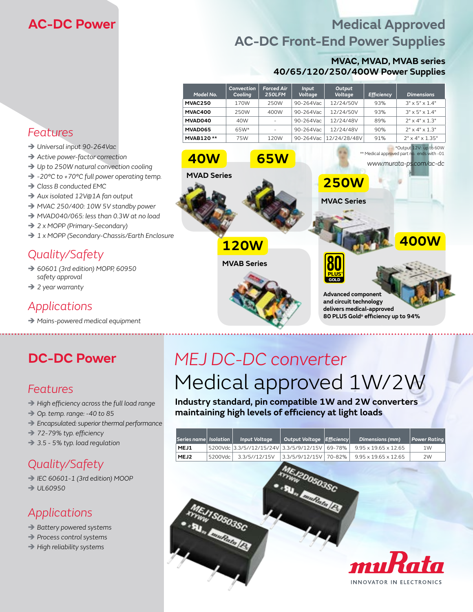### <span id="page-4-0"></span>**[AC-DC Power](http://www.murata-ps.com/en/products/ac-dc-power-supplies.html)**

### **Medical Approved AC-DC Front-End Power Supplies**

#### **MVAC, MVAD, MVAB series 40/65/120/250/400W Power Supplies**

| Model No.        | Convection<br>Cooling | <b>Forced Air</b><br>250LFM | Input<br>Voltage | Output<br>Voltage | <b>Efficiency</b> | <b>Dimensions</b>           |
|------------------|-----------------------|-----------------------------|------------------|-------------------|-------------------|-----------------------------|
| MVAC250          | 170W                  | 250W                        | $90 - 264$ Vac   | 12/24/50V         | 93%               | $3" \times 5" \times 1.4"$  |
| MVAC400          | 250W                  | 400W                        | 90-264Vac        | 12/24/50V         | 93%               | $3" \times 5" \times 1.4"$  |
| MVAD040          | 40W                   |                             | $90 - 264$ Vac   | 12/24/48V         | 89%               | $7" \times 4" \times 1.3"$  |
| MVAD065          | 65W*                  | -                           | 90-264Vac        | 12/24/48V         | 90%               | $7" \times 4" \times 1.3"$  |
| <b>MVAB120**</b> | 75W                   | 120W                        | 90-264Vac        | 12/24/28/48V      | 91%               | $7" \times 4" \times 1.35"$ |

**80 PLUS® GOLD**

**Advanced component and circuit technology delivers medical-approved 80 PLUS Gold® efficiency up to 94%**

**[250W](http://www.murata-ps.com/datasheet?http://www.murata-ps.com/data/acdcsupplies/mvac250.pdf)**

**MVAC Series**

**[40W](http://www.murata-ps.com/datasheet?http://www.murata-ps.com/data/acdcsupplies/mvad040.pdf) [65W](http://www.murata-ps.com/datasheet?http://www.murata-ps.com/data/acdcsupplies/mvad065.pdf)**

**MVAD Series**

**[120W](http://www.murata-ps.com/datasheet?http://www.murata-ps.com/data/acdcsupplies/mvab120.pdf)**

**MVAB Series**

### *Features*

- Î *Universal input 90-264Vac*
- $\rightarrow$  Active power-factor correction
- → Up to 250W natural convection cooling
- Î *-20°C to +70°C full power operating temp.*
- **→ Class B conducted EMC**
- Î *Aux isolated 12V@1A fan output*
- Î *MVAC 250/400: 10W 5V standby power*
- Î *MVAD040/065: less than 0.3W at no load*
- Î *2 x MOPP (Primary-Secondary)*
- Î *1 x MOPP (Secondary-Chassis/Earth Enclosure*

### *Quality/Safety*

- Î *60601 (3rd edition) MOPP, 60950 safety approval*
- Î *2 year warranty*

### *Applications*

Î *Mains-powered medical equipment*

### *Features*

- Î *High efficiency across the full load range*
- Î *Op. temp. range: -40 to 85*
- Î *Encapsulated: superior thermal performance*
- Î *72-79% typ. efficiency*
- Î *3.5 5% typ. load regulation*

### *Quality/Safety*

Î *IEC 60601-1 (3rd edition) MOOP*  $\rightarrow$  UL60950

### *Applications*

- Î *Battery powered systems*
- Î *Process control systems*
- Î *High reliability systems*

# **[DC-DC Power](http://www.murata-ps.com/en/products/dc-dc-converters.html)** *MEJ DC-DC converter* Medical approved 1W/2W

**Industry standard, pin compatible 1W and 2W converters maintaining high levels of efficiency at light loads**

| Series name | <b>Isolation</b> | <b>Input Voltage</b> | <b>Output Voltage</b> | <b>Efficiency</b> | <b>Dimensions (mm)</b>           | <b>Power Rating</b> |
|-------------|------------------|----------------------|-----------------------|-------------------|----------------------------------|---------------------|
| MEJ1        | 5200Vdc          | 3.3/5//12/15/24V     | 3.3/5/9/12/15V        | 69-78%            | $9.95 \times 19.65 \times 12.65$ | 1W                  |
| MEJ2        | 5200Vdc          | 3.3/5//12/15V        | 3.3/5/9/12/15V        | 70-82%            | $9.95 \times 19.65 \times 12.65$ | 2W                  |
|             |                  |                      | 20050350              |                   |                                  |                     |



**[400W](http://www.murata-ps.com/datasheet?http://www.murata-ps.com/data/acdcsupplies/mvac400.pdf)**

\*Output 12V: up to 60W \*\* Medical approved part no. ends with -01

*www.murata-ps.com/ac-dc*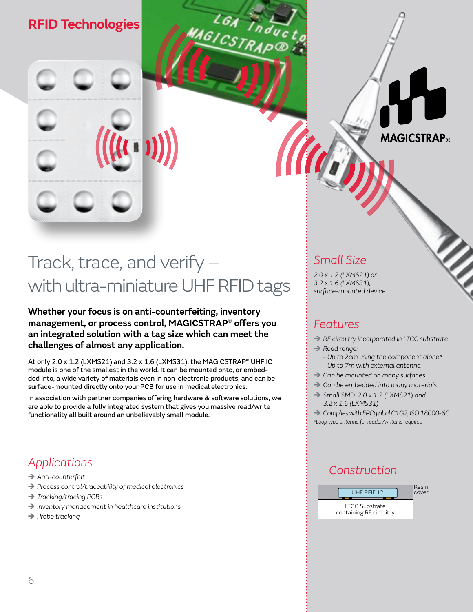### <span id="page-5-0"></span>**[RFID Technologies](http://www.murataamericas.com/rfid)**

## Track, trace, and verify – with ultra-miniature UHF RFID tags

GICSTRAP®

**Whether your focus is on anti-counterfeiting, inventory management, or process control, MAGICSTRAP**® **offers you an integrated solution with a tag size which can meet the challenges of almost any application.**

At only 2.0 x 1.2 (LXMS21) and 3.2 x 1.6 (LXMS31), the MAGICSTRAP® UHF IC module is one of the smallest in the world. It can be mounted onto, or embedded into, a wide variety of materials even in non-electronic products, and can be surface-mounted directly onto your PCB for use in medical electronics.

In association with partner companies offering hardware & software solutions, we are able to provide a fully integrated system that gives you massive read/write functionality all built around an unbelievably small module.

### *Applications*

- $\rightarrow$  Anti-counterfeit
- → Process control/traceability of medical electronics
- Î *Tracking/tracing PCBs*
- Î *Inventory management in healthcare institutions*
- **→** Probe tracking

### *Small Size*

*2.0 x 1.2 (LXMS21) or 3.2 x 1.6 (LXMS31), surface-mounted device*

### *Features*

**→ RF circuitry incorporated in LTCC substrate** 

**MAGICSTRAP**®

- $\rightarrow$  Read range:
	- *Up to 2cm using the component alone\* - Up to 7m with external antenna*
- $\rightarrow$  Can be mounted on many surfaces
- $\rightarrow$  Can be embedded into many materials
- Î *Small SMD: 2.0 x 1.2 (LXMS21) and 3.2 x 1.6 (LXMS31)*

 $\rightarrow$  Complies with EPCglobal C1G2, ISO 18000-6C *\*Loop type antenna for reader/writer is required*

### *Construction*

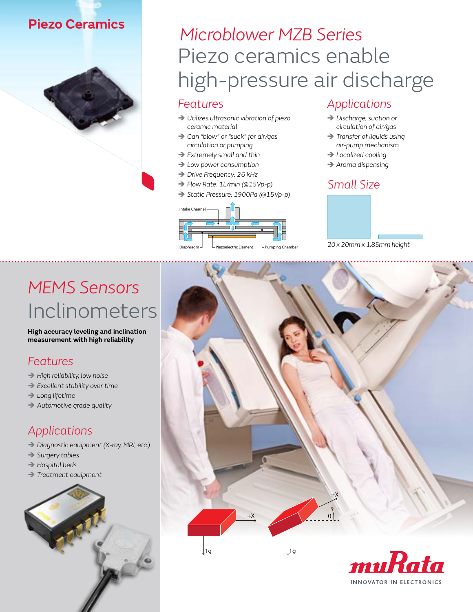### <span id="page-6-0"></span>**[Piezo Ceramics](http://www.murata.com/products/micromechatronics)**



### *Features*

- Î *Utilizes ultrasonic vibration of piezo ceramic material*
- Î *Can "blow" or "suck" for air/gas circulation or pumping*
- Î *Extremely small and thin*
- Î *Low power consumption*
- → Drive Frequency: 26 kHz
- Î *Flow Rate: 1L/min (@15Vp-p)*
- Î *Static Pressure: 1900Pa (@15Vp-p)*



### *Applications*

- $\rightarrow$  Discharge, suction or *circulation of air/gas*
- Î *Transfer of liquids using air-pump mechanism*
- → Localized cooling
- Î *Aroma dispensing*

### *Small Size*



# [Inclinometers](http://www.murata.com/products/sensor/inclinometers) *[MEMS Sensors](http://www.murata.com/products/sensor/inclinometers)*

**High accuracy leveling and inclination measurement with high reliability** 

### *Features*

- Î *High reliability, low noise*
- Î *Excellent stability over time*
- $\rightarrow$  Long lifetime
- Î *Automotive grade quality*

### *Applications*

- Î *Diagnostic equipment (X-ray, MRI, etc.)*
- Î *Surgery tables*
- Î *Hospital beds*
- $\rightarrow$  Treatment equipment